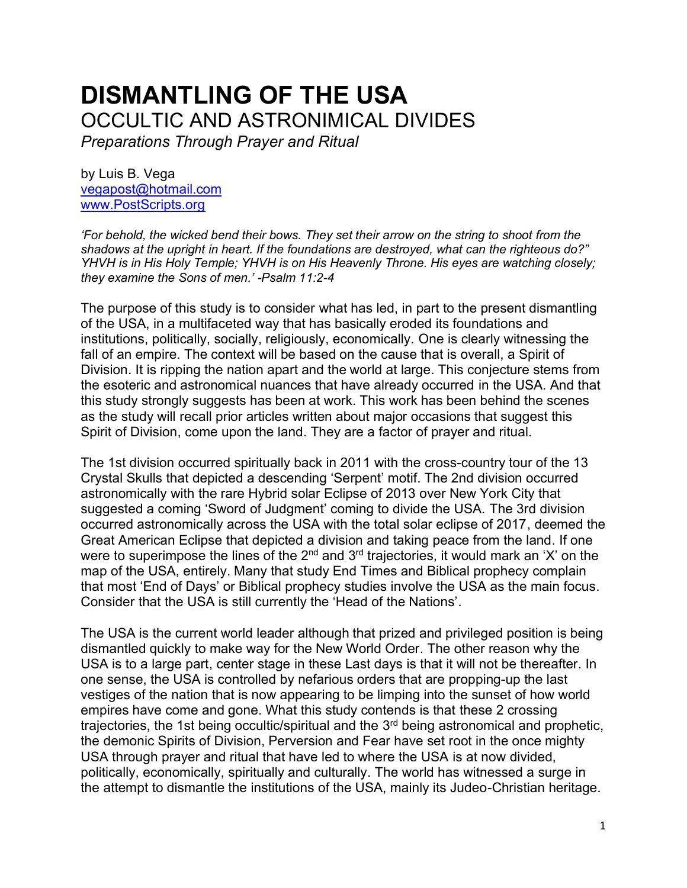# **DISMANTLING OF THE USA** OCCULTIC AND ASTRONIMICAL DIVIDES

*Preparations Through Prayer and Ritual*

by Luis B. Vega [vegapost@hotmail.com](mailto:vegapost@hotmail.com) [www.PostScripts.org](http://www.postscripts.org/)

*'For behold, the wicked bend their bows. They set their arrow on the string to shoot from the shadows at the upright in heart. If the foundations are destroyed, what can the righteous do?" YHVH is in His Holy Temple; YHVH is on His Heavenly Throne. His eyes are watching closely; they examine the Sons of men.' -Psalm 11:2-4*

The purpose of this study is to consider what has led, in part to the present dismantling of the USA, in a multifaceted way that has basically eroded its foundations and institutions, politically, socially, religiously, economically. One is clearly witnessing the fall of an empire. The context will be based on the cause that is overall, a Spirit of Division. It is ripping the nation apart and the world at large. This conjecture stems from the esoteric and astronomical nuances that have already occurred in the USA. And that this study strongly suggests has been at work. This work has been behind the scenes as the study will recall prior articles written about major occasions that suggest this Spirit of Division, come upon the land. They are a factor of prayer and ritual.

The 1st division occurred spiritually back in 2011 with the cross-country tour of the 13 Crystal Skulls that depicted a descending 'Serpent' motif. The 2nd division occurred astronomically with the rare Hybrid solar Eclipse of 2013 over New York City that suggested a coming 'Sword of Judgment' coming to divide the USA. The 3rd division occurred astronomically across the USA with the total solar eclipse of 2017, deemed the Great American Eclipse that depicted a division and taking peace from the land. If one were to superimpose the lines of the  $2<sup>nd</sup>$  and  $3<sup>rd</sup>$  trajectories, it would mark an 'X' on the map of the USA, entirely. Many that study End Times and Biblical prophecy complain that most 'End of Days' or Biblical prophecy studies involve the USA as the main focus. Consider that the USA is still currently the 'Head of the Nations'.

The USA is the current world leader although that prized and privileged position is being dismantled quickly to make way for the New World Order. The other reason why the USA is to a large part, center stage in these Last days is that it will not be thereafter. In one sense, the USA is controlled by nefarious orders that are propping-up the last vestiges of the nation that is now appearing to be limping into the sunset of how world empires have come and gone. What this study contends is that these 2 crossing trajectories, the 1st being occultic/spiritual and the 3<sup>rd</sup> being astronomical and prophetic, the demonic Spirits of Division, Perversion and Fear have set root in the once mighty USA through prayer and ritual that have led to where the USA is at now divided, politically, economically, spiritually and culturally. The world has witnessed a surge in the attempt to dismantle the institutions of the USA, mainly its Judeo-Christian heritage.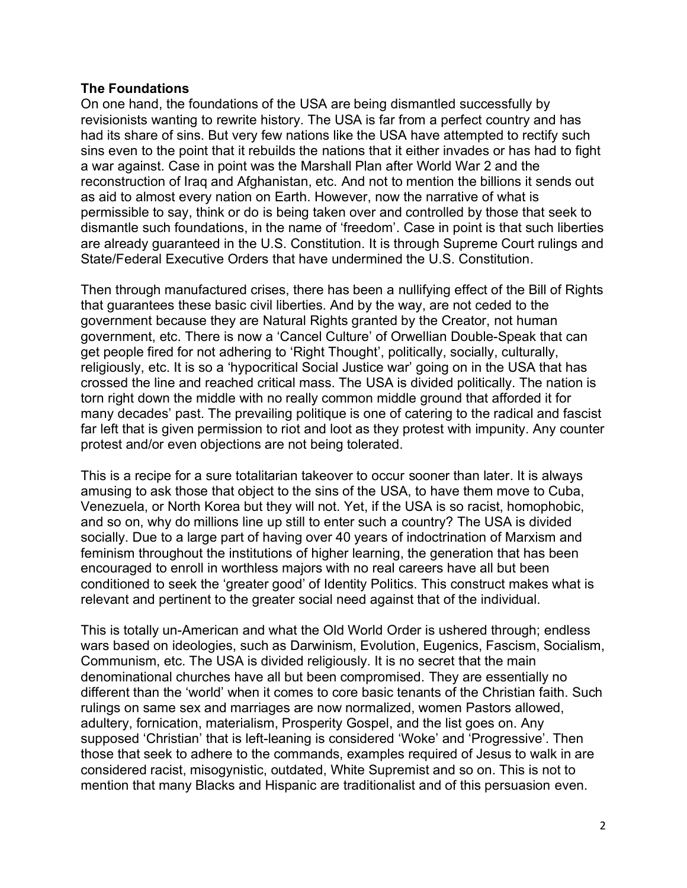## **The Foundations**

On one hand, the foundations of the USA are being dismantled successfully by revisionists wanting to rewrite history. The USA is far from a perfect country and has had its share of sins. But very few nations like the USA have attempted to rectify such sins even to the point that it rebuilds the nations that it either invades or has had to fight a war against. Case in point was the Marshall Plan after World War 2 and the reconstruction of Iraq and Afghanistan, etc. And not to mention the billions it sends out as aid to almost every nation on Earth. However, now the narrative of what is permissible to say, think or do is being taken over and controlled by those that seek to dismantle such foundations, in the name of 'freedom'. Case in point is that such liberties are already guaranteed in the U.S. Constitution. It is through Supreme Court rulings and State/Federal Executive Orders that have undermined the U.S. Constitution.

Then through manufactured crises, there has been a nullifying effect of the Bill of Rights that guarantees these basic civil liberties. And by the way, are not ceded to the government because they are Natural Rights granted by the Creator, not human government, etc. There is now a 'Cancel Culture' of Orwellian Double-Speak that can get people fired for not adhering to 'Right Thought', politically, socially, culturally, religiously, etc. It is so a 'hypocritical Social Justice war' going on in the USA that has crossed the line and reached critical mass. The USA is divided politically. The nation is torn right down the middle with no really common middle ground that afforded it for many decades' past. The prevailing politique is one of catering to the radical and fascist far left that is given permission to riot and loot as they protest with impunity. Any counter protest and/or even objections are not being tolerated.

This is a recipe for a sure totalitarian takeover to occur sooner than later. It is always amusing to ask those that object to the sins of the USA, to have them move to Cuba, Venezuela, or North Korea but they will not. Yet, if the USA is so racist, homophobic, and so on, why do millions line up still to enter such a country? The USA is divided socially. Due to a large part of having over 40 years of indoctrination of Marxism and feminism throughout the institutions of higher learning, the generation that has been encouraged to enroll in worthless majors with no real careers have all but been conditioned to seek the 'greater good' of Identity Politics. This construct makes what is relevant and pertinent to the greater social need against that of the individual.

This is totally un-American and what the Old World Order is ushered through; endless wars based on ideologies, such as Darwinism, Evolution, Eugenics, Fascism, Socialism, Communism, etc. The USA is divided religiously. It is no secret that the main denominational churches have all but been compromised. They are essentially no different than the 'world' when it comes to core basic tenants of the Christian faith. Such rulings on same sex and marriages are now normalized, women Pastors allowed, adultery, fornication, materialism, Prosperity Gospel, and the list goes on. Any supposed 'Christian' that is left-leaning is considered 'Woke' and 'Progressive'. Then those that seek to adhere to the commands, examples required of Jesus to walk in are considered racist, misogynistic, outdated, White Supremist and so on. This is not to mention that many Blacks and Hispanic are traditionalist and of this persuasion even.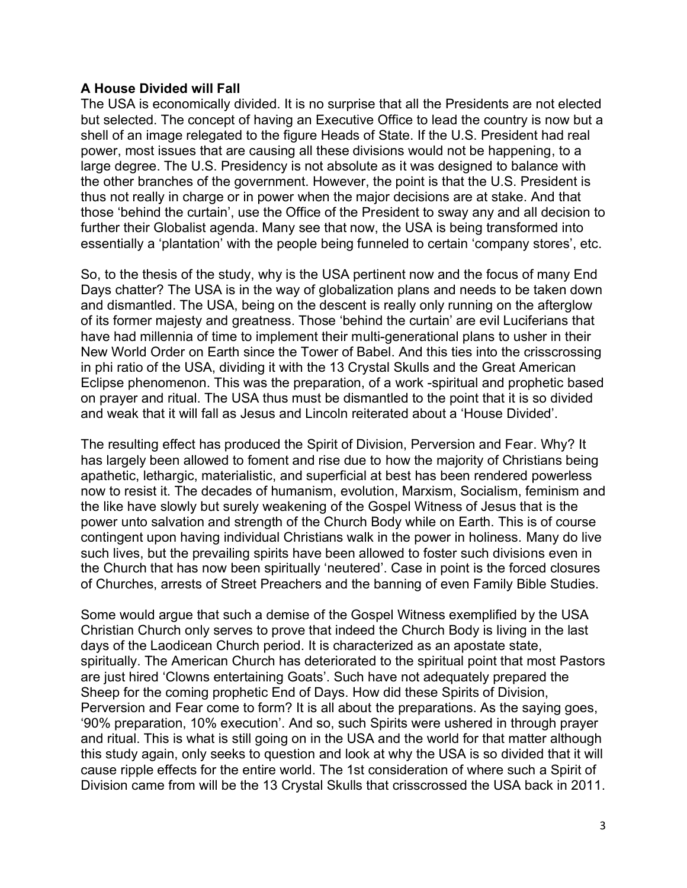## **A House Divided will Fall**

The USA is economically divided. It is no surprise that all the Presidents are not elected but selected. The concept of having an Executive Office to lead the country is now but a shell of an image relegated to the figure Heads of State. If the U.S. President had real power, most issues that are causing all these divisions would not be happening, to a large degree. The U.S. Presidency is not absolute as it was designed to balance with the other branches of the government. However, the point is that the U.S. President is thus not really in charge or in power when the major decisions are at stake. And that those 'behind the curtain', use the Office of the President to sway any and all decision to further their Globalist agenda. Many see that now, the USA is being transformed into essentially a 'plantation' with the people being funneled to certain 'company stores', etc.

So, to the thesis of the study, why is the USA pertinent now and the focus of many End Days chatter? The USA is in the way of globalization plans and needs to be taken down and dismantled. The USA, being on the descent is really only running on the afterglow of its former majesty and greatness. Those 'behind the curtain' are evil Luciferians that have had millennia of time to implement their multi-generational plans to usher in their New World Order on Earth since the Tower of Babel. And this ties into the crisscrossing in phi ratio of the USA, dividing it with the 13 Crystal Skulls and the Great American Eclipse phenomenon. This was the preparation, of a work -spiritual and prophetic based on prayer and ritual. The USA thus must be dismantled to the point that it is so divided and weak that it will fall as Jesus and Lincoln reiterated about a 'House Divided'.

The resulting effect has produced the Spirit of Division, Perversion and Fear. Why? It has largely been allowed to foment and rise due to how the majority of Christians being apathetic, lethargic, materialistic, and superficial at best has been rendered powerless now to resist it. The decades of humanism, evolution, Marxism, Socialism, feminism and the like have slowly but surely weakening of the Gospel Witness of Jesus that is the power unto salvation and strength of the Church Body while on Earth. This is of course contingent upon having individual Christians walk in the power in holiness. Many do live such lives, but the prevailing spirits have been allowed to foster such divisions even in the Church that has now been spiritually 'neutered'. Case in point is the forced closures of Churches, arrests of Street Preachers and the banning of even Family Bible Studies.

Some would argue that such a demise of the Gospel Witness exemplified by the USA Christian Church only serves to prove that indeed the Church Body is living in the last days of the Laodicean Church period. It is characterized as an apostate state, spiritually. The American Church has deteriorated to the spiritual point that most Pastors are just hired 'Clowns entertaining Goats'. Such have not adequately prepared the Sheep for the coming prophetic End of Days. How did these Spirits of Division, Perversion and Fear come to form? It is all about the preparations. As the saying goes, '90% preparation, 10% execution'. And so, such Spirits were ushered in through prayer and ritual. This is what is still going on in the USA and the world for that matter although this study again, only seeks to question and look at why the USA is so divided that it will cause ripple effects for the entire world. The 1st consideration of where such a Spirit of Division came from will be the 13 Crystal Skulls that crisscrossed the USA back in 2011.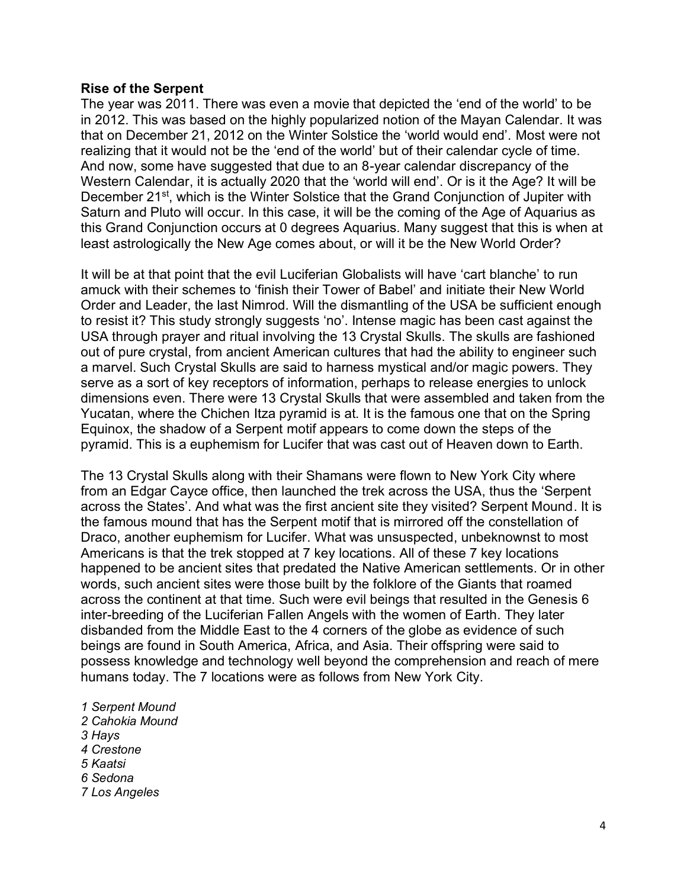#### **Rise of the Serpent**

The year was 2011. There was even a movie that depicted the 'end of the world' to be in 2012. This was based on the highly popularized notion of the Mayan Calendar. It was that on December 21, 2012 on the Winter Solstice the 'world would end'. Most were not realizing that it would not be the 'end of the world' but of their calendar cycle of time. And now, some have suggested that due to an 8-year calendar discrepancy of the Western Calendar, it is actually 2020 that the 'world will end'. Or is it the Age? It will be December 21<sup>st</sup>, which is the Winter Solstice that the Grand Conjunction of Jupiter with Saturn and Pluto will occur. In this case, it will be the coming of the Age of Aquarius as this Grand Conjunction occurs at 0 degrees Aquarius. Many suggest that this is when at least astrologically the New Age comes about, or will it be the New World Order?

It will be at that point that the evil Luciferian Globalists will have 'cart blanche' to run amuck with their schemes to 'finish their Tower of Babel' and initiate their New World Order and Leader, the last Nimrod. Will the dismantling of the USA be sufficient enough to resist it? This study strongly suggests 'no'. Intense magic has been cast against the USA through prayer and ritual involving the 13 Crystal Skulls. The skulls are fashioned out of pure crystal, from ancient American cultures that had the ability to engineer such a marvel. Such Crystal Skulls are said to harness mystical and/or magic powers. They serve as a sort of key receptors of information, perhaps to release energies to unlock dimensions even. There were 13 Crystal Skulls that were assembled and taken from the Yucatan, where the Chichen Itza pyramid is at. It is the famous one that on the Spring Equinox, the shadow of a Serpent motif appears to come down the steps of the pyramid. This is a euphemism for Lucifer that was cast out of Heaven down to Earth.

The 13 Crystal Skulls along with their Shamans were flown to New York City where from an Edgar Cayce office, then launched the trek across the USA, thus the 'Serpent across the States'. And what was the first ancient site they visited? Serpent Mound. It is the famous mound that has the Serpent motif that is mirrored off the constellation of Draco, another euphemism for Lucifer. What was unsuspected, unbeknownst to most Americans is that the trek stopped at 7 key locations. All of these 7 key locations happened to be ancient sites that predated the Native American settlements. Or in other words, such ancient sites were those built by the folklore of the Giants that roamed across the continent at that time. Such were evil beings that resulted in the Genesis 6 inter-breeding of the Luciferian Fallen Angels with the women of Earth. They later disbanded from the Middle East to the 4 corners of the globe as evidence of such beings are found in South America, Africa, and Asia. Their offspring were said to possess knowledge and technology well beyond the comprehension and reach of mere humans today. The 7 locations were as follows from New York City.

*1 Serpent Mound 2 Cahokia Mound 3 Hays 4 Crestone 5 Kaatsi 6 Sedona 7 Los Angeles*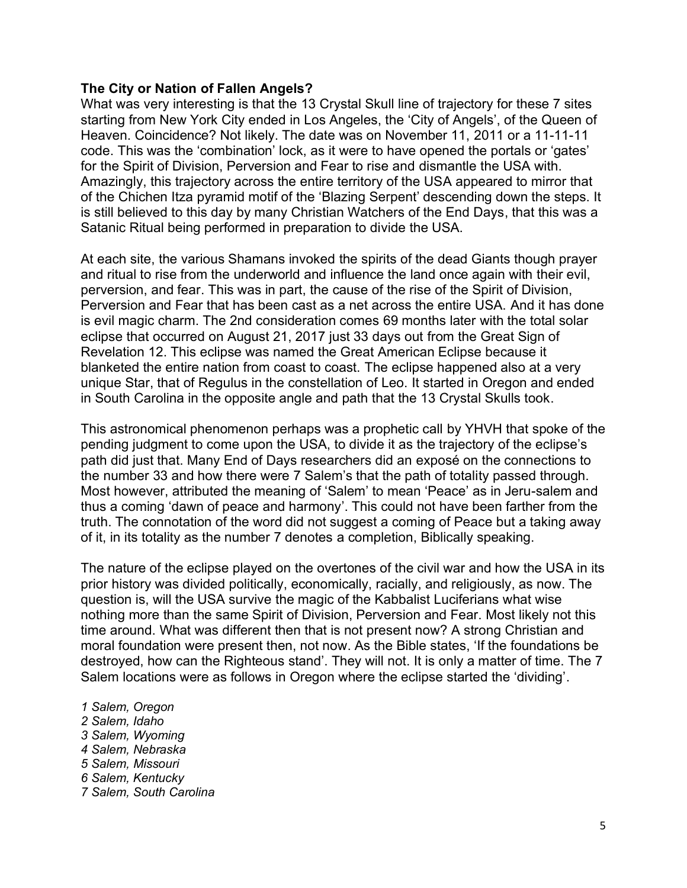#### **The City or Nation of Fallen Angels?**

What was very interesting is that the 13 Crystal Skull line of trajectory for these 7 sites starting from New York City ended in Los Angeles, the 'City of Angels', of the Queen of Heaven. Coincidence? Not likely. The date was on November 11, 2011 or a 11-11-11 code. This was the 'combination' lock, as it were to have opened the portals or 'gates' for the Spirit of Division, Perversion and Fear to rise and dismantle the USA with. Amazingly, this trajectory across the entire territory of the USA appeared to mirror that of the Chichen Itza pyramid motif of the 'Blazing Serpent' descending down the steps. It is still believed to this day by many Christian Watchers of the End Days, that this was a Satanic Ritual being performed in preparation to divide the USA.

At each site, the various Shamans invoked the spirits of the dead Giants though prayer and ritual to rise from the underworld and influence the land once again with their evil, perversion, and fear. This was in part, the cause of the rise of the Spirit of Division, Perversion and Fear that has been cast as a net across the entire USA. And it has done is evil magic charm. The 2nd consideration comes 69 months later with the total solar eclipse that occurred on August 21, 2017 just 33 days out from the Great Sign of Revelation 12. This eclipse was named the Great American Eclipse because it blanketed the entire nation from coast to coast. The eclipse happened also at a very unique Star, that of Regulus in the constellation of Leo. It started in Oregon and ended in South Carolina in the opposite angle and path that the 13 Crystal Skulls took.

This astronomical phenomenon perhaps was a prophetic call by YHVH that spoke of the pending judgment to come upon the USA, to divide it as the trajectory of the eclipse's path did just that. Many End of Days researchers did an exposé on the connections to the number 33 and how there were 7 Salem's that the path of totality passed through. Most however, attributed the meaning of 'Salem' to mean 'Peace' as in Jeru-salem and thus a coming 'dawn of peace and harmony'. This could not have been farther from the truth. The connotation of the word did not suggest a coming of Peace but a taking away of it, in its totality as the number 7 denotes a completion, Biblically speaking.

The nature of the eclipse played on the overtones of the civil war and how the USA in its prior history was divided politically, economically, racially, and religiously, as now. The question is, will the USA survive the magic of the Kabbalist Luciferians what wise nothing more than the same Spirit of Division, Perversion and Fear. Most likely not this time around. What was different then that is not present now? A strong Christian and moral foundation were present then, not now. As the Bible states, 'If the foundations be destroyed, how can the Righteous stand'. They will not. It is only a matter of time. The 7 Salem locations were as follows in Oregon where the eclipse started the 'dividing'.

*1 Salem, Oregon 2 Salem, Idaho 3 Salem, Wyoming 4 Salem, Nebraska 5 Salem, Missouri 6 Salem, Kentucky 7 Salem, South Carolina*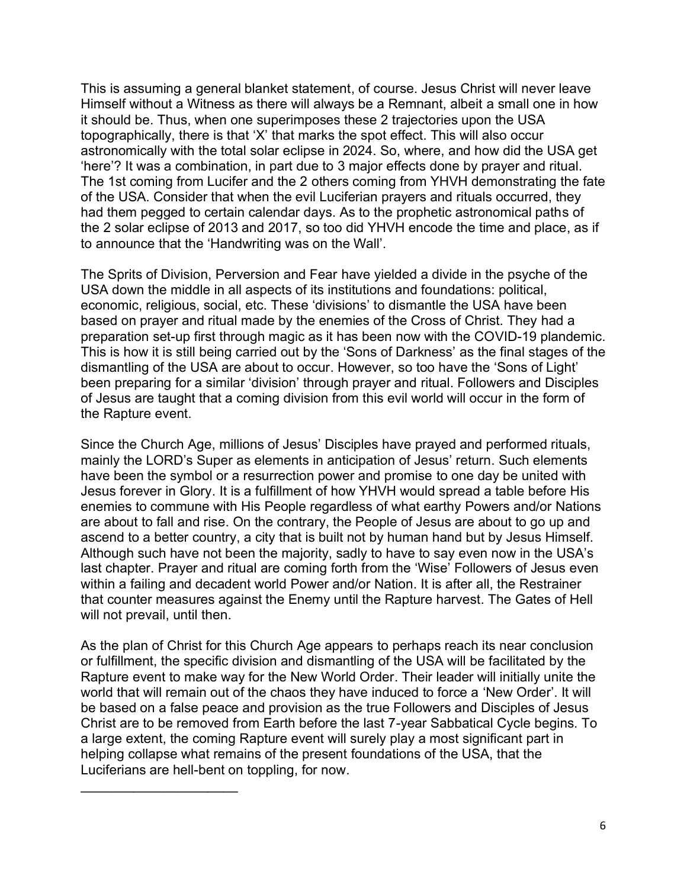This is assuming a general blanket statement, of course. Jesus Christ will never leave Himself without a Witness as there will always be a Remnant, albeit a small one in how it should be. Thus, when one superimposes these 2 trajectories upon the USA topographically, there is that 'X' that marks the spot effect. This will also occur astronomically with the total solar eclipse in 2024. So, where, and how did the USA get 'here'? It was a combination, in part due to 3 major effects done by prayer and ritual. The 1st coming from Lucifer and the 2 others coming from YHVH demonstrating the fate of the USA. Consider that when the evil Luciferian prayers and rituals occurred, they had them pegged to certain calendar days. As to the prophetic astronomical paths of the 2 solar eclipse of 2013 and 2017, so too did YHVH encode the time and place, as if to announce that the 'Handwriting was on the Wall'.

The Sprits of Division, Perversion and Fear have yielded a divide in the psyche of the USA down the middle in all aspects of its institutions and foundations: political, economic, religious, social, etc. These 'divisions' to dismantle the USA have been based on prayer and ritual made by the enemies of the Cross of Christ. They had a preparation set-up first through magic as it has been now with the COVID-19 plandemic. This is how it is still being carried out by the 'Sons of Darkness' as the final stages of the dismantling of the USA are about to occur. However, so too have the 'Sons of Light' been preparing for a similar 'division' through prayer and ritual. Followers and Disciples of Jesus are taught that a coming division from this evil world will occur in the form of the Rapture event.

Since the Church Age, millions of Jesus' Disciples have prayed and performed rituals, mainly the LORD's Super as elements in anticipation of Jesus' return. Such elements have been the symbol or a resurrection power and promise to one day be united with Jesus forever in Glory. It is a fulfillment of how YHVH would spread a table before His enemies to commune with His People regardless of what earthy Powers and/or Nations are about to fall and rise. On the contrary, the People of Jesus are about to go up and ascend to a better country, a city that is built not by human hand but by Jesus Himself. Although such have not been the majority, sadly to have to say even now in the USA's last chapter. Prayer and ritual are coming forth from the 'Wise' Followers of Jesus even within a failing and decadent world Power and/or Nation. It is after all, the Restrainer that counter measures against the Enemy until the Rapture harvest. The Gates of Hell will not prevail, until then.

As the plan of Christ for this Church Age appears to perhaps reach its near conclusion or fulfillment, the specific division and dismantling of the USA will be facilitated by the Rapture event to make way for the New World Order. Their leader will initially unite the world that will remain out of the chaos they have induced to force a 'New Order'. It will be based on a false peace and provision as the true Followers and Disciples of Jesus Christ are to be removed from Earth before the last 7-year Sabbatical Cycle begins. To a large extent, the coming Rapture event will surely play a most significant part in helping collapse what remains of the present foundations of the USA, that the Luciferians are hell-bent on toppling, for now.

 $\overline{\phantom{a}}$  , where  $\overline{\phantom{a}}$